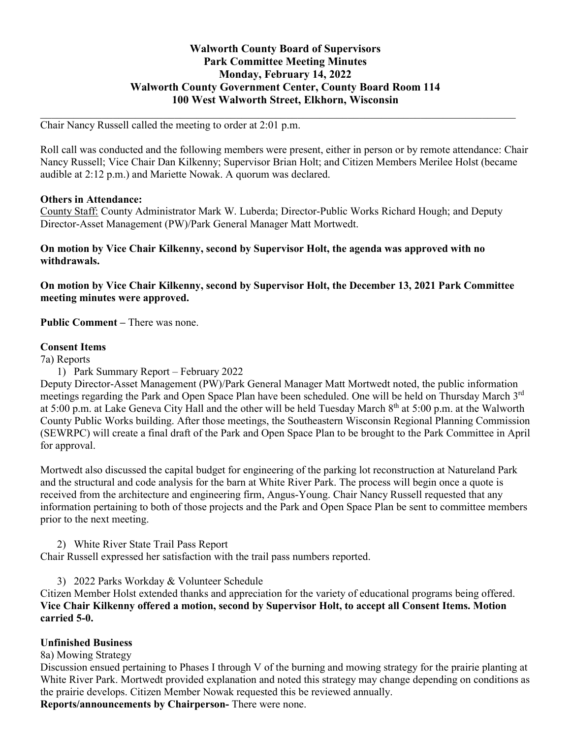# **Walworth County Board of Supervisors Park Committee Meeting Minutes Monday, February 14, 2022 Walworth County Government Center, County Board Room 114 100 West Walworth Street, Elkhorn, Wisconsin**

Chair Nancy Russell called the meeting to order at 2:01 p.m.

Roll call was conducted and the following members were present, either in person or by remote attendance: Chair Nancy Russell; Vice Chair Dan Kilkenny; Supervisor Brian Holt; and Citizen Members Merilee Holst (became audible at 2:12 p.m.) and Mariette Nowak. A quorum was declared.

 $\mathcal{L}_\mathcal{L} = \{ \mathcal{L}_\mathcal{L} = \{ \mathcal{L}_\mathcal{L} = \{ \mathcal{L}_\mathcal{L} = \{ \mathcal{L}_\mathcal{L} = \{ \mathcal{L}_\mathcal{L} = \{ \mathcal{L}_\mathcal{L} = \{ \mathcal{L}_\mathcal{L} = \{ \mathcal{L}_\mathcal{L} = \{ \mathcal{L}_\mathcal{L} = \{ \mathcal{L}_\mathcal{L} = \{ \mathcal{L}_\mathcal{L} = \{ \mathcal{L}_\mathcal{L} = \{ \mathcal{L}_\mathcal{L} = \{ \mathcal{L}_\mathcal{$ 

### **Others in Attendance:**

County Staff: County Administrator Mark W. Luberda; Director-Public Works Richard Hough; and Deputy Director-Asset Management (PW)/Park General Manager Matt Mortwedt.

**On motion by Vice Chair Kilkenny, second by Supervisor Holt, the agenda was approved with no withdrawals.**

**On motion by Vice Chair Kilkenny, second by Supervisor Holt, the December 13, 2021 Park Committee meeting minutes were approved.**

**Public Comment –** There was none.

#### **Consent Items**

7a) Reports

1) Park Summary Report – February 2022

Deputy Director-Asset Management (PW)/Park General Manager Matt Mortwedt noted, the public information meetings regarding the Park and Open Space Plan have been scheduled. One will be held on Thursday March 3<sup>rd</sup> at 5:00 p.m. at Lake Geneva City Hall and the other will be held Tuesday March 8<sup>th</sup> at 5:00 p.m. at the Walworth County Public Works building. After those meetings, the Southeastern Wisconsin Regional Planning Commission (SEWRPC) will create a final draft of the Park and Open Space Plan to be brought to the Park Committee in April for approval.

Mortwedt also discussed the capital budget for engineering of the parking lot reconstruction at Natureland Park and the structural and code analysis for the barn at White River Park. The process will begin once a quote is received from the architecture and engineering firm, Angus-Young. Chair Nancy Russell requested that any information pertaining to both of those projects and the Park and Open Space Plan be sent to committee members prior to the next meeting.

2) White River State Trail Pass Report

Chair Russell expressed her satisfaction with the trail pass numbers reported.

3) 2022 Parks Workday & Volunteer Schedule

Citizen Member Holst extended thanks and appreciation for the variety of educational programs being offered. **Vice Chair Kilkenny offered a motion, second by Supervisor Holt, to accept all Consent Items. Motion carried 5-0.**

### **Unfinished Business**

8a) Mowing Strategy

Discussion ensued pertaining to Phases I through V of the burning and mowing strategy for the prairie planting at White River Park. Mortwedt provided explanation and noted this strategy may change depending on conditions as the prairie develops. Citizen Member Nowak requested this be reviewed annually.

**Reports/announcements by Chairperson-** There were none.